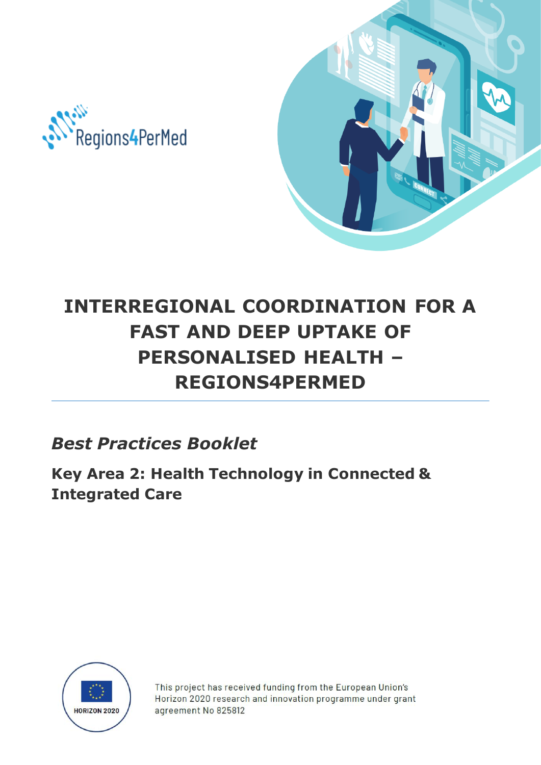



# **INTERREGIONAL COORDINATION FOR A FAST AND DEEP UPTAKE OF PERSONALISED HEALTH – REGIONS4PERMED Regions4PerMed**

*Best Practices Booklet*

**Key Area 2: Health Technology in Connected & Integrated Care**



This project has received funding from the European Union's Horizon 2020 research and innovation programme under grant agreement No 825812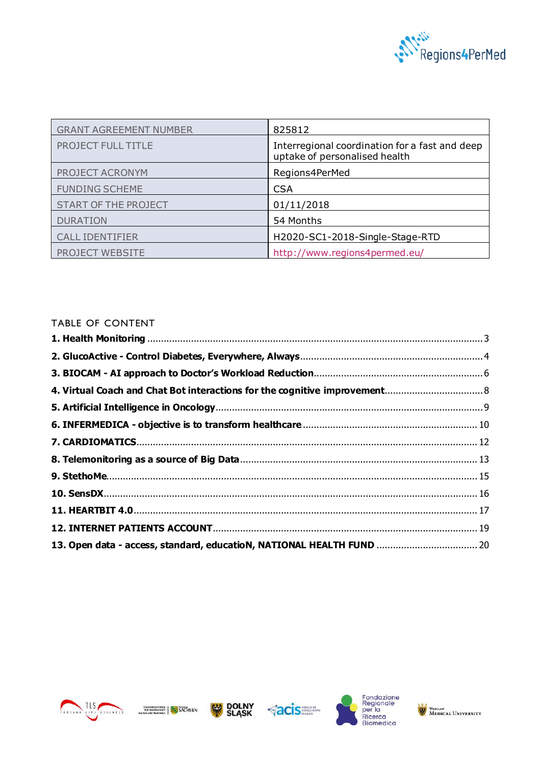

| <b>GRANT AGREEMENT NUMBER</b> | 825812                                                                          |
|-------------------------------|---------------------------------------------------------------------------------|
| <b>PROJECT FULL TITLE</b>     | Interregional coordination for a fast and deep<br>uptake of personalised health |
| PROJECT ACRONYM               | Regions4PerMed                                                                  |
| <b>FUNDING SCHEME</b>         | <b>CSA</b>                                                                      |
| <b>START OF THE PROJECT</b>   | 01/11/2018                                                                      |
| <b>DURATION</b>               | 54 Months                                                                       |
| <b>CALL IDENTIFIER</b>        | H2020-SC1-2018-Single-Stage-RTD                                                 |
| <b>PROJECT WEBSITE</b>        | http://www.regions4permed.eu/                                                   |

## TABLE OF CONTENT

| 13. Open data - access, standard, educatioN, NATIONAL HEALTH FUND  20 |  |
|-----------------------------------------------------------------------|--|









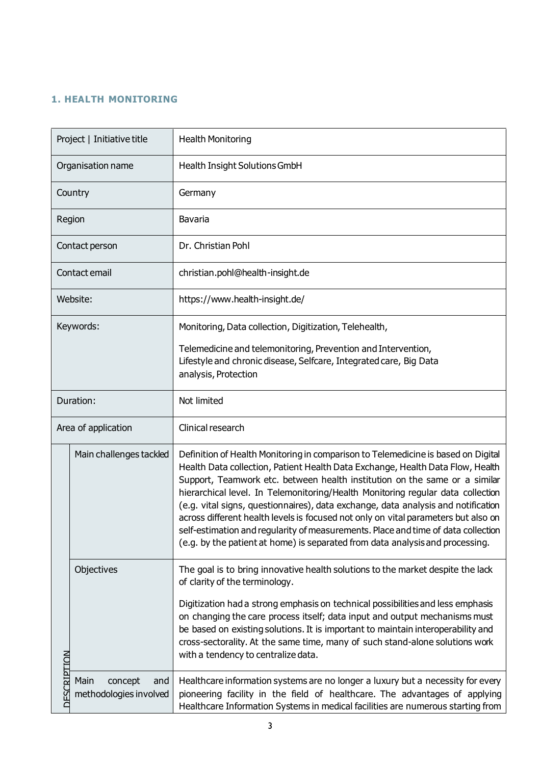## <span id="page-2-0"></span>**1. HEALTH MONITORING**

|                    | Project   Initiative title                       | <b>Health Monitoring</b>                                                                                                                                                                                                                                                                                                                                                                                                                                                                                                                                                                                                                                                              |
|--------------------|--------------------------------------------------|---------------------------------------------------------------------------------------------------------------------------------------------------------------------------------------------------------------------------------------------------------------------------------------------------------------------------------------------------------------------------------------------------------------------------------------------------------------------------------------------------------------------------------------------------------------------------------------------------------------------------------------------------------------------------------------|
| Organisation name  |                                                  | <b>Health Insight Solutions GmbH</b>                                                                                                                                                                                                                                                                                                                                                                                                                                                                                                                                                                                                                                                  |
|                    | Country                                          | Germany                                                                                                                                                                                                                                                                                                                                                                                                                                                                                                                                                                                                                                                                               |
|                    | Region                                           | Bavaria                                                                                                                                                                                                                                                                                                                                                                                                                                                                                                                                                                                                                                                                               |
|                    | Contact person                                   | Dr. Christian Pohl                                                                                                                                                                                                                                                                                                                                                                                                                                                                                                                                                                                                                                                                    |
|                    | Contact email                                    | christian.pohl@health-insight.de                                                                                                                                                                                                                                                                                                                                                                                                                                                                                                                                                                                                                                                      |
|                    | Website:                                         | https://www.health-insight.de/                                                                                                                                                                                                                                                                                                                                                                                                                                                                                                                                                                                                                                                        |
|                    | Keywords:                                        | Monitoring, Data collection, Digitization, Telehealth,                                                                                                                                                                                                                                                                                                                                                                                                                                                                                                                                                                                                                                |
|                    |                                                  | Telemedicine and telemonitoring, Prevention and Intervention,<br>Lifestyle and chronic disease, Selfcare, Integrated care, Big Data<br>analysis, Protection                                                                                                                                                                                                                                                                                                                                                                                                                                                                                                                           |
|                    | Duration:                                        | Not limited                                                                                                                                                                                                                                                                                                                                                                                                                                                                                                                                                                                                                                                                           |
|                    | Area of application                              | Clinical research                                                                                                                                                                                                                                                                                                                                                                                                                                                                                                                                                                                                                                                                     |
|                    | Main challenges tackled                          | Definition of Health Monitoring in comparison to Telemedicine is based on Digital<br>Health Data collection, Patient Health Data Exchange, Health Data Flow, Health<br>Support, Teamwork etc. between health institution on the same or a similar<br>hierarchical level. In Telemonitoring/Health Monitoring regular data collection<br>(e.g. vital signs, questionnaires), data exchange, data analysis and notification<br>across different health levels is focused not only on vital parameters but also on<br>self-estimation and regularity of measurements. Place and time of data collection<br>(e.g. by the patient at home) is separated from data analysis and processing. |
|                    | Objectives                                       | The goal is to bring innovative health solutions to the market despite the lack<br>of clarity of the terminology.                                                                                                                                                                                                                                                                                                                                                                                                                                                                                                                                                                     |
|                    |                                                  | Digitization had a strong emphasis on technical possibilities and less emphasis<br>on changing the care process itself; data input and output mechanisms must<br>be based on existing solutions. It is important to maintain interoperability and<br>cross-sectorality. At the same time, many of such stand-alone solutions work<br>with a tendency to centralize data.                                                                                                                                                                                                                                                                                                              |
| <b>DESCRIPTION</b> | Main<br>concept<br>and<br>methodologies involved | Healthcare information systems are no longer a luxury but a necessity for every<br>pioneering facility in the field of healthcare. The advantages of applying<br>Healthcare Information Systems in medical facilities are numerous starting from                                                                                                                                                                                                                                                                                                                                                                                                                                      |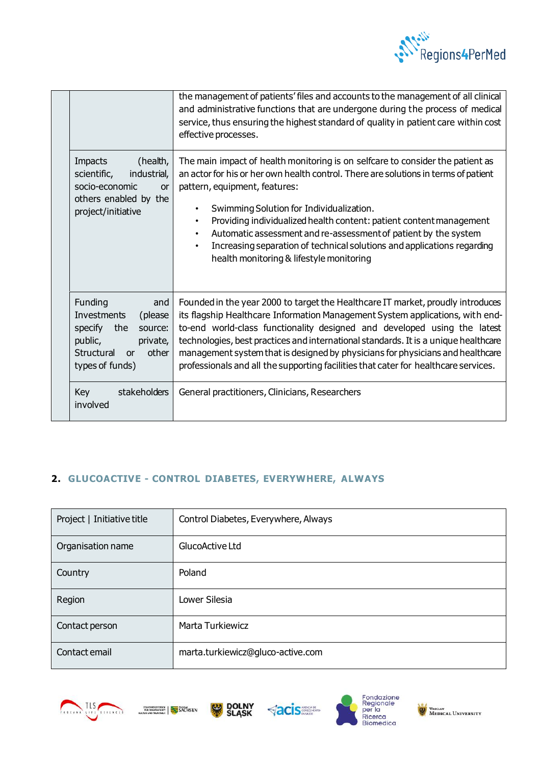

|  |                                                                                                                                              | the management of patients' files and accounts to the management of all clinical<br>and administrative functions that are undergone during the process of medical<br>service, thus ensuring the highest standard of quality in patient care within cost<br>effective processes.                                                                                                                                                                                                                                                                                         |
|--|----------------------------------------------------------------------------------------------------------------------------------------------|-------------------------------------------------------------------------------------------------------------------------------------------------------------------------------------------------------------------------------------------------------------------------------------------------------------------------------------------------------------------------------------------------------------------------------------------------------------------------------------------------------------------------------------------------------------------------|
|  | Impacts<br>(health,<br>scientific,<br>industrial,<br>socio-economic<br><b>or</b><br>others enabled by the<br>project/initiative              | The main impact of health monitoring is on selfcare to consider the patient as<br>an actor for his or her own health control. There are solutions in terms of patient<br>pattern, equipment, features:<br>Swimming Solution for Individualization.<br>$\bullet$<br>Providing individualized health content: patient content management<br>$\bullet$<br>Automatic assessment and re-assessment of patient by the system<br>$\bullet$<br>Increasing separation of technical solutions and applications regarding<br>$\bullet$<br>health monitoring & lifestyle monitoring |
|  | Funding<br>and<br>Investments<br>(please<br>specify<br>the<br>source:<br>public,<br>private,<br>Structural<br>other<br>or<br>types of funds) | Founded in the year 2000 to target the Healthcare IT market, proudly introduces<br>its flagship Healthcare Information Management System applications, with end-<br>to-end world-class functionality designed and developed using the latest<br>technologies, best practices and international standards. It is a unique healthcare<br>management system that is designed by physicians for physicians and healthcare<br>professionals and all the supporting facilities that cater for healthcare services.                                                            |
|  | stakeholders<br>Key<br>involved                                                                                                              | General practitioners, Clinicians, Researchers                                                                                                                                                                                                                                                                                                                                                                                                                                                                                                                          |

## <span id="page-3-0"></span>**2. GLUCOACTIVE - CONTROL DIABETES, EVERYWHERE, ALWAYS**

| Project   Initiative title | Control Diabetes, Everywhere, Always |
|----------------------------|--------------------------------------|
| Organisation name          | GlucoActive Ltd                      |
| Country                    | Poland                               |
| Region                     | Lower Silesia                        |
| Contact person             | <b>Marta Turkiewicz</b>              |
| Contact email              | marta.turkiewicz@gluco-active.com    |









WROCLAW WEDICAL UNIVERSITY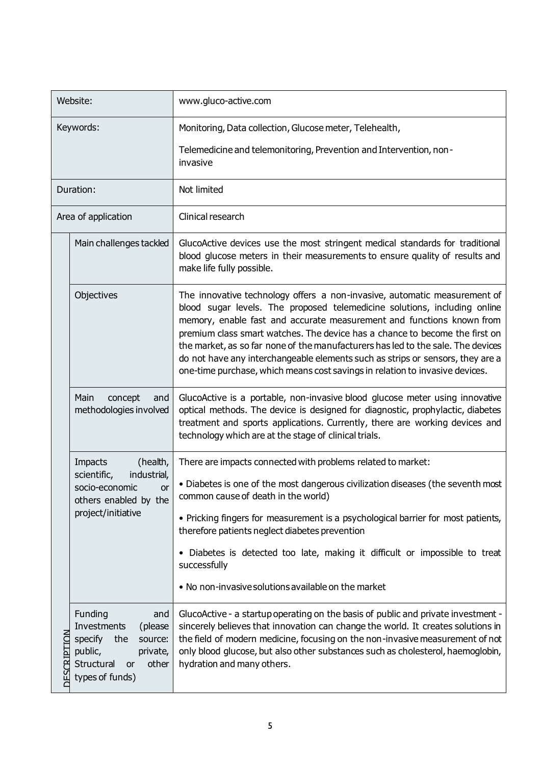| Website:    |                                                                                                                                              | www.gluco-active.com                                                                                                                                                                                                                                                                                                                                                                                                                                                                                                                                                 |
|-------------|----------------------------------------------------------------------------------------------------------------------------------------------|----------------------------------------------------------------------------------------------------------------------------------------------------------------------------------------------------------------------------------------------------------------------------------------------------------------------------------------------------------------------------------------------------------------------------------------------------------------------------------------------------------------------------------------------------------------------|
| Keywords:   |                                                                                                                                              | Monitoring, Data collection, Glucose meter, Telehealth,                                                                                                                                                                                                                                                                                                                                                                                                                                                                                                              |
|             |                                                                                                                                              | Telemedicine and telemonitoring, Prevention and Intervention, non-<br>invasive                                                                                                                                                                                                                                                                                                                                                                                                                                                                                       |
|             | Duration:                                                                                                                                    | Not limited                                                                                                                                                                                                                                                                                                                                                                                                                                                                                                                                                          |
|             | Area of application                                                                                                                          | Clinical research                                                                                                                                                                                                                                                                                                                                                                                                                                                                                                                                                    |
|             | Main challenges tackled                                                                                                                      | GlucoActive devices use the most stringent medical standards for traditional<br>blood glucose meters in their measurements to ensure quality of results and<br>make life fully possible.                                                                                                                                                                                                                                                                                                                                                                             |
|             | Objectives                                                                                                                                   | The innovative technology offers a non-invasive, automatic measurement of<br>blood sugar levels. The proposed telemedicine solutions, including online<br>memory, enable fast and accurate measurement and functions known from<br>premium class smart watches. The device has a chance to become the first on<br>the market, as so far none of the manufacturers has led to the sale. The devices<br>do not have any interchangeable elements such as strips or sensors, they are a<br>one-time purchase, which means cost savings in relation to invasive devices. |
|             | Main<br>concept<br>and<br>methodologies involved                                                                                             | GlucoActive is a portable, non-invasive blood glucose meter using innovative<br>optical methods. The device is designed for diagnostic, prophylactic, diabetes<br>treatment and sports applications. Currently, there are working devices and<br>technology which are at the stage of clinical trials.                                                                                                                                                                                                                                                               |
|             | Impacts<br>(health,<br>industrial,<br>scientific,<br>socio-economic<br>or<br>others enabled by the<br>project/initiative                     | There are impacts connected with problems related to market:<br>• Diabetes is one of the most dangerous civilization diseases (the seventh most<br>common cause of death in the world)<br>• Pricking fingers for measurement is a psychological barrier for most patients,<br>therefore patients neglect diabetes prevention<br>• Diabetes is detected too late, making it difficult or impossible to treat<br>successfully<br>• No non-invasive solutions available on the market                                                                                   |
| DESCRIPTION | Funding<br>and<br>Investments<br>(please<br>specify<br>the<br>source:<br>public,<br>private,<br>Structural<br>other<br>or<br>types of funds) | GlucoActive - a startup operating on the basis of public and private investment -<br>sincerely believes that innovation can change the world. It creates solutions in<br>the field of modern medicine, focusing on the non-invasive measurement of not<br>only blood glucose, but also other substances such as cholesterol, haemoglobin,<br>hydration and many others.                                                                                                                                                                                              |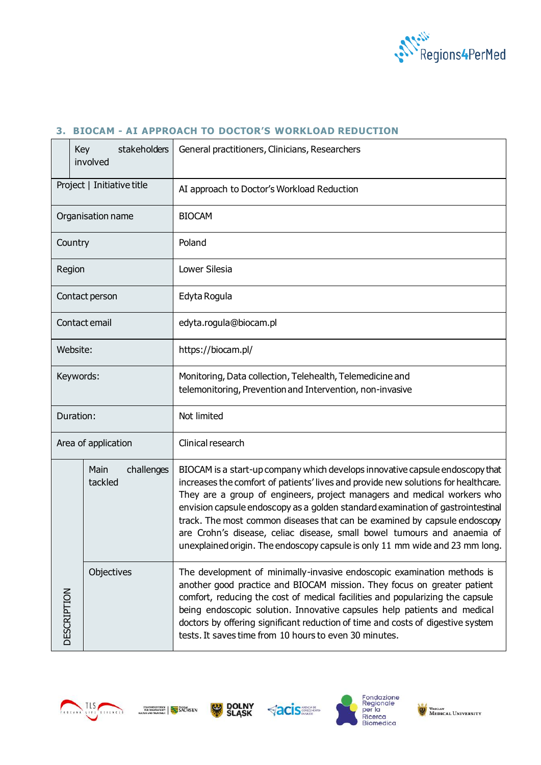

#### <span id="page-5-0"></span>**3. BIOCAM - AI APPROACH TO DOCTOR'S WORKLOAD REDUCTION**

|                     | stakeholders<br>Key<br>involved | General practitioners, Clinicians, Researchers                                                                                                                                                                                                                                                                                                                                                                                                                                                                                                                            |
|---------------------|---------------------------------|---------------------------------------------------------------------------------------------------------------------------------------------------------------------------------------------------------------------------------------------------------------------------------------------------------------------------------------------------------------------------------------------------------------------------------------------------------------------------------------------------------------------------------------------------------------------------|
|                     | Project   Initiative title      | AI approach to Doctor's Workload Reduction                                                                                                                                                                                                                                                                                                                                                                                                                                                                                                                                |
|                     | Organisation name               | <b>BIOCAM</b>                                                                                                                                                                                                                                                                                                                                                                                                                                                                                                                                                             |
| Country             |                                 | Poland                                                                                                                                                                                                                                                                                                                                                                                                                                                                                                                                                                    |
| Region              |                                 | Lower Silesia                                                                                                                                                                                                                                                                                                                                                                                                                                                                                                                                                             |
|                     | Contact person                  | Edyta Rogula                                                                                                                                                                                                                                                                                                                                                                                                                                                                                                                                                              |
|                     | Contact email                   | edyta.rogula@biocam.pl                                                                                                                                                                                                                                                                                                                                                                                                                                                                                                                                                    |
| Website:            |                                 | https://biocam.pl/                                                                                                                                                                                                                                                                                                                                                                                                                                                                                                                                                        |
| Keywords:           |                                 | Monitoring, Data collection, Telehealth, Telemedicine and<br>telemonitoring, Prevention and Intervention, non-invasive                                                                                                                                                                                                                                                                                                                                                                                                                                                    |
| Duration:           |                                 | Not limited                                                                                                                                                                                                                                                                                                                                                                                                                                                                                                                                                               |
| Area of application |                                 | Clinical research                                                                                                                                                                                                                                                                                                                                                                                                                                                                                                                                                         |
|                     | Main<br>challenges<br>tackled   | BIOCAM is a start-up company which develops innovative capsule endoscopy that<br>increases the comfort of patients' lives and provide new solutions for healthcare.<br>They are a group of engineers, project managers and medical workers who<br>envision capsule endoscopy as a golden standard examination of gastrointestinal<br>track. The most common diseases that can be examined by capsule endoscopy<br>are Crohn's disease, celiac disease, small bowel tumours and anaemia of<br>unexplained origin. The endoscopy capsule is only 11 mm wide and 23 mm long. |
| <b>DESCRIPTION</b>  | Objectives                      | The development of minimally-invasive endoscopic examination methods is<br>another good practice and BIOCAM mission. They focus on greater patient<br>comfort, reducing the cost of medical facilities and popularizing the capsule<br>being endoscopic solution. Innovative capsules help patients and medical<br>doctors by offering significant reduction of time and costs of digestive system<br>tests. It saves time from 10 hours to even 30 minutes.                                                                                                              |









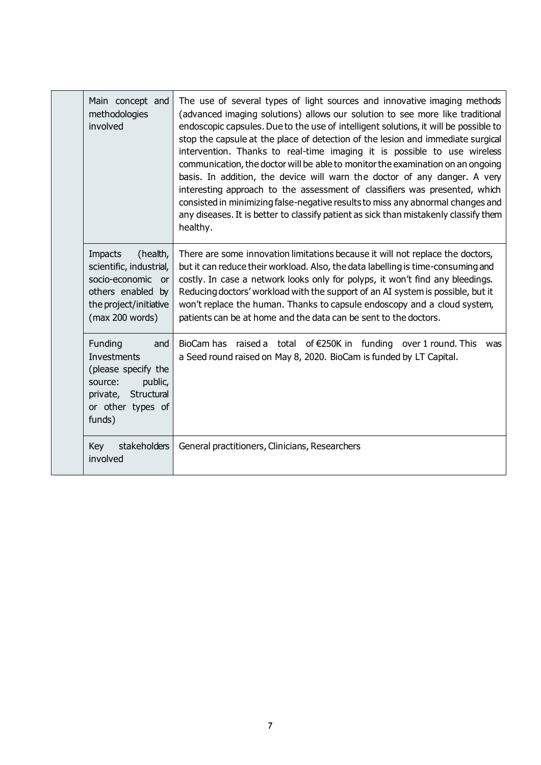|  | Main concept and<br>methodologies<br>involved                                                                                                | The use of several types of light sources and innovative imaging methods<br>(advanced imaging solutions) allows our solution to see more like traditional<br>endoscopic capsules. Due to the use of intelligent solutions, it will be possible to<br>stop the capsule at the place of detection of the lesion and immediate surgical<br>intervention. Thanks to real-time imaging it is possible to use wireless<br>communication, the doctor will be able to monitor the examination on an ongoing<br>basis. In addition, the device will warn the doctor of any danger. A very<br>interesting approach to the assessment of classifiers was presented, which<br>consisted in minimizing false-negative results to miss any abnormal changes and<br>any diseases. It is better to classify patient as sick than mistakenly classify them<br>healthy. |
|--|----------------------------------------------------------------------------------------------------------------------------------------------|-------------------------------------------------------------------------------------------------------------------------------------------------------------------------------------------------------------------------------------------------------------------------------------------------------------------------------------------------------------------------------------------------------------------------------------------------------------------------------------------------------------------------------------------------------------------------------------------------------------------------------------------------------------------------------------------------------------------------------------------------------------------------------------------------------------------------------------------------------|
|  | <b>Impacts</b><br>(health,<br>scientific, industrial,<br>socio-economic or<br>others enabled by<br>the project/initiative<br>(max 200 words) | There are some innovation limitations because it will not replace the doctors,<br>but it can reduce their workload. Also, the data labelling is time-consuming and<br>costly. In case a network looks only for polyps, it won't find any bleedings.<br>Reducing doctors' workload with the support of an AI system is possible, but it<br>won't replace the human. Thanks to capsule endoscopy and a cloud system,<br>patients can be at home and the data can be sent to the doctors.                                                                                                                                                                                                                                                                                                                                                                |
|  | Funding<br>and<br><b>Investments</b><br>(please specify the<br>public,<br>source:<br>private, Structural<br>or other types of<br>funds)      | BioCam has raised a total of €250K in funding over 1 round. This<br>was<br>a Seed round raised on May 8, 2020. BioCam is funded by LT Capital.                                                                                                                                                                                                                                                                                                                                                                                                                                                                                                                                                                                                                                                                                                        |
|  | Key<br>stakeholders<br>involved                                                                                                              | General practitioners, Clinicians, Researchers                                                                                                                                                                                                                                                                                                                                                                                                                                                                                                                                                                                                                                                                                                                                                                                                        |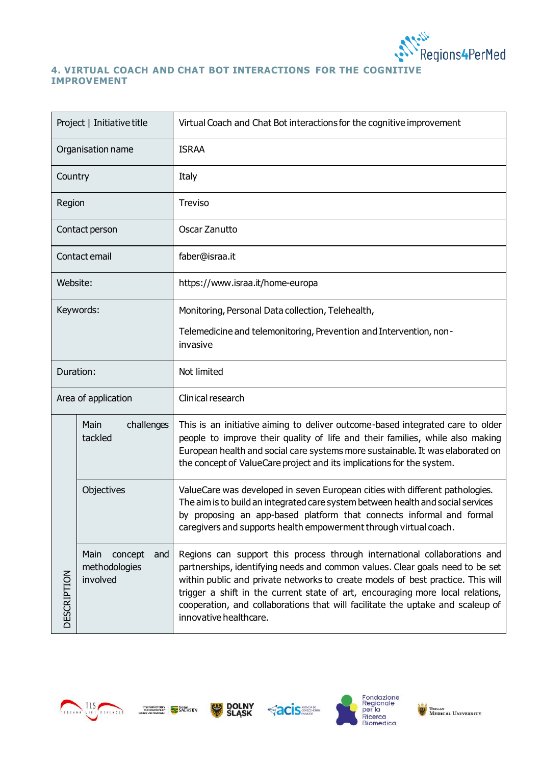

#### <span id="page-7-0"></span>**4. VIRTUAL COACH AND CHAT BOT INTERACTIONS FOR THE COGNITIVE IMPROVEMENT**

| Project   Initiative title |                                                     | Virtual Coach and Chat Bot interactions for the cognitive improvement                                                                                                                                                                                                                                                                                                                                                                       |
|----------------------------|-----------------------------------------------------|---------------------------------------------------------------------------------------------------------------------------------------------------------------------------------------------------------------------------------------------------------------------------------------------------------------------------------------------------------------------------------------------------------------------------------------------|
| Organisation name          |                                                     | <b>ISRAA</b>                                                                                                                                                                                                                                                                                                                                                                                                                                |
| Country                    |                                                     | Italy                                                                                                                                                                                                                                                                                                                                                                                                                                       |
| Region                     |                                                     | <b>Treviso</b>                                                                                                                                                                                                                                                                                                                                                                                                                              |
|                            | Contact person                                      | Oscar Zanutto                                                                                                                                                                                                                                                                                                                                                                                                                               |
|                            | Contact email                                       | faber@israa.it                                                                                                                                                                                                                                                                                                                                                                                                                              |
| Website:                   |                                                     | https://www.israa.it/home-europa                                                                                                                                                                                                                                                                                                                                                                                                            |
|                            | Keywords:                                           | Monitoring, Personal Data collection, Telehealth,                                                                                                                                                                                                                                                                                                                                                                                           |
|                            |                                                     | Telemedicine and telemonitoring, Prevention and Intervention, non-<br>invasive                                                                                                                                                                                                                                                                                                                                                              |
| Duration:                  |                                                     | Not limited                                                                                                                                                                                                                                                                                                                                                                                                                                 |
| Area of application        |                                                     | Clinical research                                                                                                                                                                                                                                                                                                                                                                                                                           |
| <b>DESCRIPTION</b>         | Main<br>challenges<br>tackled                       | This is an initiative aiming to deliver outcome-based integrated care to older<br>people to improve their quality of life and their families, while also making<br>European health and social care systems more sustainable. It was elaborated on<br>the concept of ValueCare project and its implications for the system.                                                                                                                  |
|                            | Objectives                                          | ValueCare was developed in seven European cities with different pathologies.<br>The aim is to build an integrated care system between health and social services<br>by proposing an app-based platform that connects informal and formal<br>caregivers and supports health empowerment through virtual coach.                                                                                                                               |
|                            | Main<br>concept<br>and<br>methodologies<br>involved | Regions can support this process through international collaborations and<br>partnerships, identifying needs and common values. Clear goals need to be set<br>within public and private networks to create models of best practice. This will<br>trigger a shift in the current state of art, encouraging more local relations,<br>cooperation, and collaborations that will facilitate the uptake and scaleup of<br>innovative healthcare. |









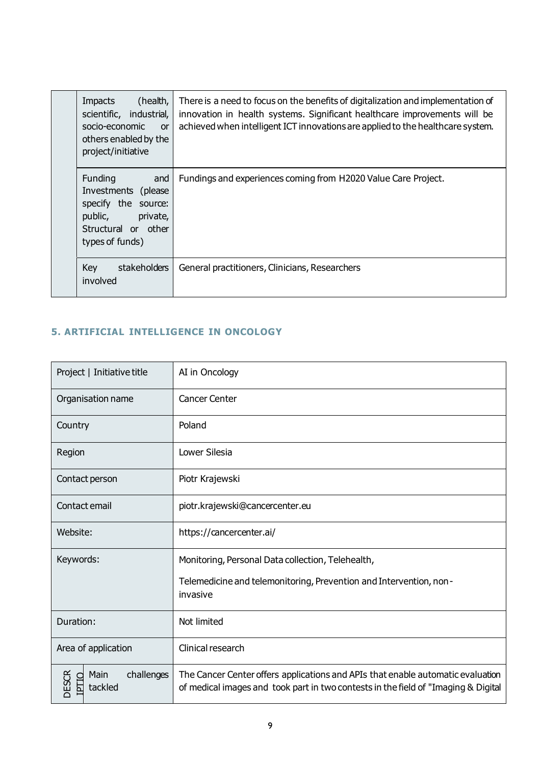|  | (health,<br>Impacts<br>scientific, industrial,<br>socio-economic<br><b>or</b><br>others enabled by the<br>project/initiative   | There is a need to focus on the benefits of digitalization and implementation of<br>innovation in health systems. Significant healthcare improvements will be<br>achieved when intelligent ICT innovations are applied to the healthcare system. |
|--|--------------------------------------------------------------------------------------------------------------------------------|--------------------------------------------------------------------------------------------------------------------------------------------------------------------------------------------------------------------------------------------------|
|  | Funding<br>and<br>Investments (please)<br>specify the source:<br>public,<br>private,<br>Structural or other<br>types of funds) | Fundings and experiences coming from H2020 Value Care Project.                                                                                                                                                                                   |
|  | Key<br>stakeholders<br>involved                                                                                                | General practitioners, Clinicians, Researchers                                                                                                                                                                                                   |

## <span id="page-8-0"></span>**5. ARTIFICIAL INTELLIGENCE IN ONCOLOGY**

| Project   Initiative title                                    | AI in Oncology                                                                                                                                                        |
|---------------------------------------------------------------|-----------------------------------------------------------------------------------------------------------------------------------------------------------------------|
| Organisation name                                             | <b>Cancer Center</b>                                                                                                                                                  |
| Country                                                       | Poland                                                                                                                                                                |
| Region                                                        | Lower Silesia                                                                                                                                                         |
| Contact person                                                | Piotr Krajewski                                                                                                                                                       |
| Contact email                                                 | piotr.krajewski@cancercenter.eu                                                                                                                                       |
| Website:                                                      | https://cancercenter.ai/                                                                                                                                              |
| Keywords:                                                     | Monitoring, Personal Data collection, Telehealth,                                                                                                                     |
|                                                               | Telemedicine and telemonitoring, Prevention and Intervention, non-<br>invasive                                                                                        |
| Duration:                                                     | Not limited                                                                                                                                                           |
| Area of application                                           | Clinical research                                                                                                                                                     |
| <b>DESCR</b><br>Main<br>challenges<br><b>IPTIO</b><br>tackled | The Cancer Center offers applications and APIs that enable automatic evaluation<br>of medical images and took part in two contests in the field of "Imaging & Digital |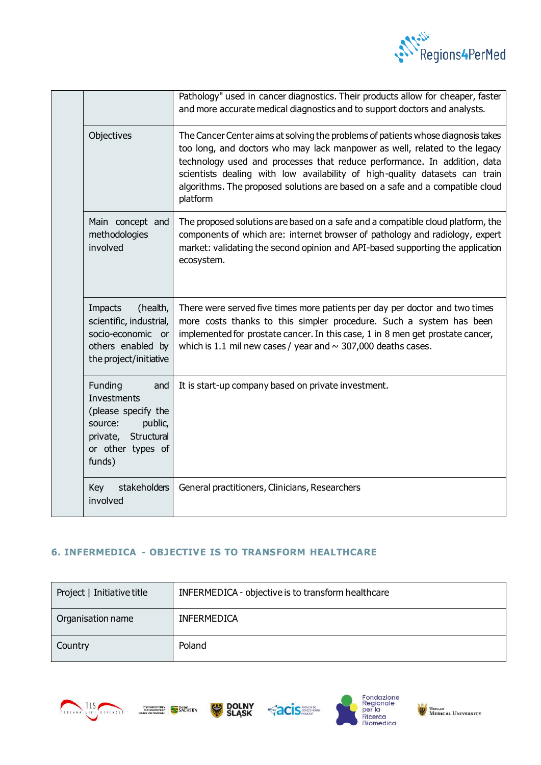

|  |                                                                                                                                         | Pathology" used in cancer diagnostics. Their products allow for cheaper, faster<br>and more accurate medical diagnostics and to support doctors and analysts.                                                                                                                                                                                                                                                          |
|--|-----------------------------------------------------------------------------------------------------------------------------------------|------------------------------------------------------------------------------------------------------------------------------------------------------------------------------------------------------------------------------------------------------------------------------------------------------------------------------------------------------------------------------------------------------------------------|
|  | Objectives                                                                                                                              | The Cancer Center aims at solving the problems of patients whose diagnosis takes<br>too long, and doctors who may lack manpower as well, related to the legacy<br>technology used and processes that reduce performance. In addition, data<br>scientists dealing with low availability of high-quality datasets can train<br>algorithms. The proposed solutions are based on a safe and a compatible cloud<br>platform |
|  | Main concept and<br>methodologies<br>involved                                                                                           | The proposed solutions are based on a safe and a compatible cloud platform, the<br>components of which are: internet browser of pathology and radiology, expert<br>market: validating the second opinion and API-based supporting the application<br>ecosystem.                                                                                                                                                        |
|  | <b>Impacts</b><br>(health,<br>scientific, industrial,<br>socio-economic or<br>others enabled by<br>the project/initiative               | There were served five times more patients per day per doctor and two times<br>more costs thanks to this simpler procedure. Such a system has been<br>implemented for prostate cancer. In this case, 1 in 8 men get prostate cancer,<br>which is 1.1 mil new cases / year and $\sim$ 307,000 deaths cases.                                                                                                             |
|  | Funding<br>and<br><b>Investments</b><br>(please specify the<br>source:<br>public,<br>private, Structural<br>or other types of<br>funds) | It is start-up company based on private investment.                                                                                                                                                                                                                                                                                                                                                                    |
|  | Key<br>stakeholders<br>involved                                                                                                         | General practitioners, Clinicians, Researchers                                                                                                                                                                                                                                                                                                                                                                         |

### <span id="page-9-0"></span>**6. INFERMEDICA - OBJECTIVE IS TO TRANSFORM HEALTHCARE**

| Project   Initiative title | INFERMEDICA - objective is to transform healthcare |
|----------------------------|----------------------------------------------------|
| Organisation name          | <b>INFERMEDICA</b>                                 |
| Country                    | Poland                                             |









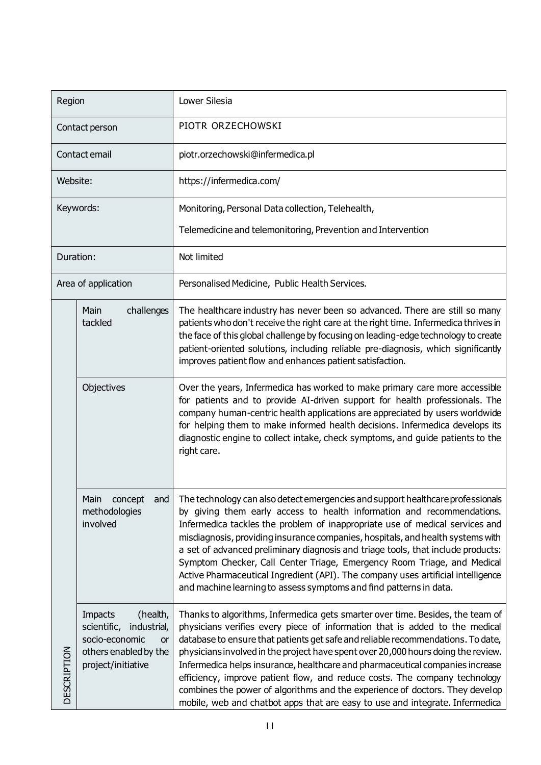| Region             |                                                                                                                                        | Lower Silesia                                                                                                                                                                                                                                                                                                                                                                                                                                                                                                                                                                                                                                                         |
|--------------------|----------------------------------------------------------------------------------------------------------------------------------------|-----------------------------------------------------------------------------------------------------------------------------------------------------------------------------------------------------------------------------------------------------------------------------------------------------------------------------------------------------------------------------------------------------------------------------------------------------------------------------------------------------------------------------------------------------------------------------------------------------------------------------------------------------------------------|
| Contact person     |                                                                                                                                        | PIOTR ORZECHOWSKI                                                                                                                                                                                                                                                                                                                                                                                                                                                                                                                                                                                                                                                     |
|                    | Contact email                                                                                                                          | piotr.orzechowski@infermedica.pl                                                                                                                                                                                                                                                                                                                                                                                                                                                                                                                                                                                                                                      |
| Website:           |                                                                                                                                        | https://infermedica.com/                                                                                                                                                                                                                                                                                                                                                                                                                                                                                                                                                                                                                                              |
|                    | Keywords:                                                                                                                              | Monitoring, Personal Data collection, Telehealth,                                                                                                                                                                                                                                                                                                                                                                                                                                                                                                                                                                                                                     |
|                    |                                                                                                                                        | Telemedicine and telemonitoring, Prevention and Intervention                                                                                                                                                                                                                                                                                                                                                                                                                                                                                                                                                                                                          |
| Duration:          |                                                                                                                                        | Not limited                                                                                                                                                                                                                                                                                                                                                                                                                                                                                                                                                                                                                                                           |
|                    | Area of application                                                                                                                    | Personalised Medicine, Public Health Services.                                                                                                                                                                                                                                                                                                                                                                                                                                                                                                                                                                                                                        |
|                    | Main<br>challenges<br>tackled                                                                                                          | The healthcare industry has never been so advanced. There are still so many<br>patients who don't receive the right care at the right time. Infermedica thrives in<br>the face of this global challenge by focusing on leading-edge technology to create<br>patient-oriented solutions, including reliable pre-diagnosis, which significantly<br>improves patient flow and enhances patient satisfaction.                                                                                                                                                                                                                                                             |
|                    | Objectives                                                                                                                             | Over the years, Infermedica has worked to make primary care more accessible<br>for patients and to provide AI-driven support for health professionals. The<br>company human-centric health applications are appreciated by users worldwide<br>for helping them to make informed health decisions. Infermedica develops its<br>diagnostic engine to collect intake, check symptoms, and guide patients to the<br>right care.                                                                                                                                                                                                                                           |
|                    | Main concept<br>and<br>methodologies<br>involved                                                                                       | The technology can also detect emergencies and support healthcare professionals<br>by giving them early access to health information and recommendations.<br>Infermedica tackles the problem of inappropriate use of medical services and<br>misdiagnosis, providing insurance companies, hospitals, and health systems with<br>a set of advanced preliminary diagnosis and triage tools, that include products:<br>Symptom Checker, Call Center Triage, Emergency Room Triage, and Medical<br>Active Pharmaceutical Ingredient (API). The company uses artificial intelligence<br>and machine learning to assess symptoms and find patterns in data.                 |
| <b>DESCRIPTION</b> | <b>Impacts</b><br>(health,<br>scientific,<br>industrial,<br>socio-economic<br><b>or</b><br>others enabled by the<br>project/initiative | Thanks to algorithms, Infermedica gets smarter over time. Besides, the team of<br>physicians verifies every piece of information that is added to the medical<br>database to ensure that patients get safe and reliable recommendations. To date,<br>physicians involved in the project have spent over 20,000 hours doing the review.<br>Infermedica helps insurance, healthcare and pharmaceutical companies increase<br>efficiency, improve patient flow, and reduce costs. The company technology<br>combines the power of algorithms and the experience of doctors. They develop<br>mobile, web and chatbot apps that are easy to use and integrate. Infermedica |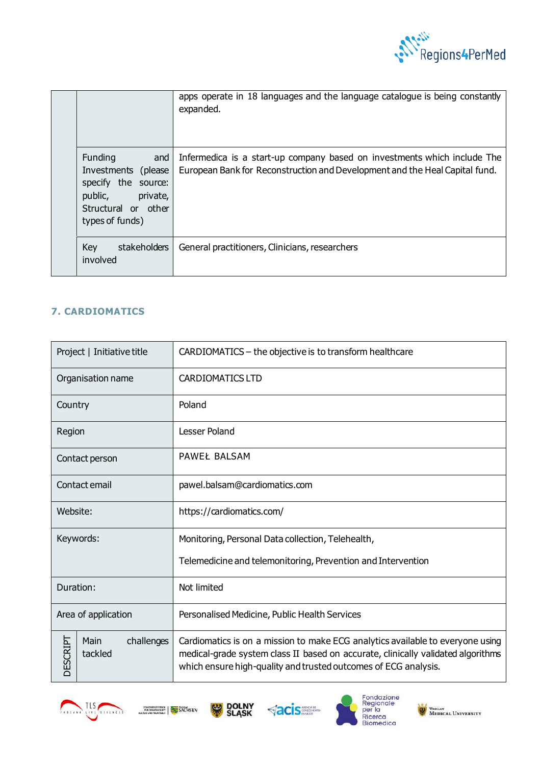

|  |  | apps operate in 18 languages and the language catalogue is being constantly<br>expanded.                                          |                                                                                                                                                         |
|--|--|-----------------------------------------------------------------------------------------------------------------------------------|---------------------------------------------------------------------------------------------------------------------------------------------------------|
|  |  | Funding<br>and<br>(please)<br>Investments<br>specify the source:<br>public,<br>private,<br>Structural or other<br>types of funds) | Infermedica is a start-up company based on investments which include The<br>European Bank for Reconstruction and Development and the Heal Capital fund. |
|  |  | Key<br>stakeholders<br>involved                                                                                                   | General practitioners, Clinicians, researchers                                                                                                          |

## <span id="page-11-0"></span>**7. CARDIOMATICS**

| Project   Initiative title                | CARDIOMATICS - the objective is to transform healthcare                                                                                                                                                                               |
|-------------------------------------------|---------------------------------------------------------------------------------------------------------------------------------------------------------------------------------------------------------------------------------------|
| Organisation name                         | <b>CARDIOMATICS LTD</b>                                                                                                                                                                                                               |
| Country                                   | Poland                                                                                                                                                                                                                                |
| Region                                    | <b>Lesser Poland</b>                                                                                                                                                                                                                  |
| Contact person                            | <b>PAWEŁ BALSAM</b>                                                                                                                                                                                                                   |
| Contact email                             | pawel.balsam@cardiomatics.com                                                                                                                                                                                                         |
| Website:                                  | https://cardiomatics.com/                                                                                                                                                                                                             |
| Keywords:                                 | Monitoring, Personal Data collection, Telehealth,                                                                                                                                                                                     |
|                                           | Telemedicine and telemonitoring, Prevention and Intervention                                                                                                                                                                          |
| Duration:                                 | Not limited                                                                                                                                                                                                                           |
| Area of application                       | Personalised Medicine, Public Health Services                                                                                                                                                                                         |
| DESCRIPT<br>Main<br>challenges<br>tackled | Cardiomatics is on a mission to make ECG analytics available to everyone using<br>medical-grade system class II based on accurate, clinically validated algorithms<br>which ensure high-quality and trusted outcomes of ECG analysis. |











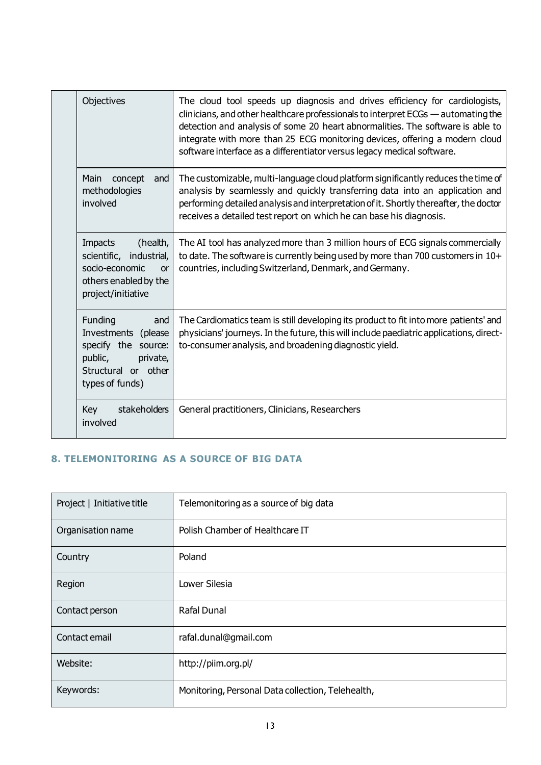|  | Objectives                                                                                                                       | The cloud tool speeds up diagnosis and drives efficiency for cardiologists,<br>clinicians, and other healthcare professionals to interpret ECGs — automating the<br>detection and analysis of some 20 heart abnormalities. The software is able to<br>integrate with more than 25 ECG monitoring devices, offering a modern cloud<br>software interface as a differentiator versus legacy medical software. |
|--|----------------------------------------------------------------------------------------------------------------------------------|-------------------------------------------------------------------------------------------------------------------------------------------------------------------------------------------------------------------------------------------------------------------------------------------------------------------------------------------------------------------------------------------------------------|
|  | Main<br>concept<br>and<br>methodologies<br>involved                                                                              | The customizable, multi-language cloud platform significantly reduces the time of<br>analysis by seamlessly and quickly transferring data into an application and<br>performing detailed analysis and interpretation of it. Shortly thereafter, the doctor<br>receives a detailed test report on which he can base his diagnosis.                                                                           |
|  | (health,<br>Impacts<br>scientific, industrial,<br>socio-economic<br><b>or</b><br>others enabled by the<br>project/initiative     | The AI tool has analyzed more than 3 million hours of ECG signals commercially<br>to date. The software is currently being used by more than 700 customers in 10+<br>countries, including Switzerland, Denmark, and Germany.                                                                                                                                                                                |
|  | Funding<br>and<br>Investments<br>(please<br>specify the source:<br>public,<br>private,<br>Structural or other<br>types of funds) | The Cardiomatics team is still developing its product to fit into more patients' and<br>physicians' journeys. In the future, this will include paediatric applications, direct-<br>to-consumer analysis, and broadening diagnostic yield.                                                                                                                                                                   |
|  | Key<br>stakeholders<br>involved                                                                                                  | General practitioners, Clinicians, Researchers                                                                                                                                                                                                                                                                                                                                                              |

## <span id="page-12-0"></span>**8. TELEMONITORING AS A SOURCE OF BIG DATA**

| Project   Initiative title | Telemonitoring as a source of big data            |
|----------------------------|---------------------------------------------------|
| Organisation name          | Polish Chamber of Healthcare IT                   |
| Country                    | Poland                                            |
| Region                     | Lower Silesia                                     |
| Contact person             | <b>Rafal Dunal</b>                                |
| Contact email              | rafal.dunal@gmail.com                             |
| Website:                   | http://piim.org.pl/                               |
| Keywords:                  | Monitoring, Personal Data collection, Telehealth, |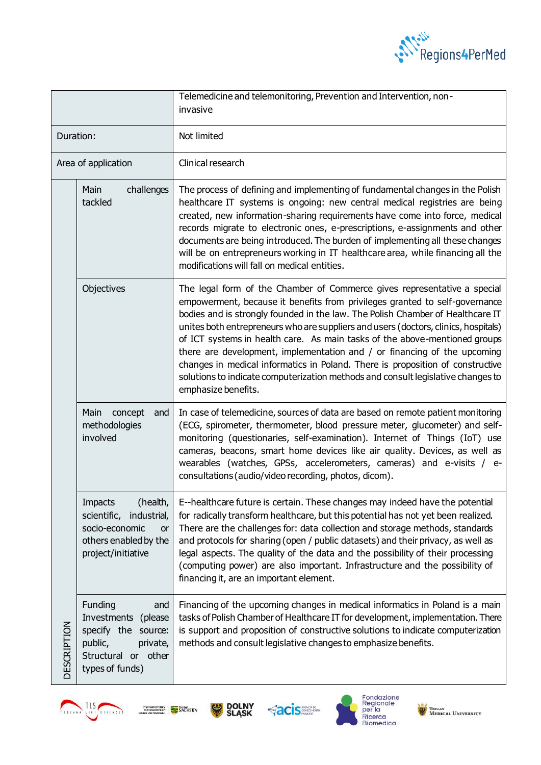

|             |                                                                                                                                     | Telemedicine and telemonitoring, Prevention and Intervention, non-<br>invasive                                                                                                                                                                                                                                                                                                                                                                                                                                                                                                                                                                                                          |
|-------------|-------------------------------------------------------------------------------------------------------------------------------------|-----------------------------------------------------------------------------------------------------------------------------------------------------------------------------------------------------------------------------------------------------------------------------------------------------------------------------------------------------------------------------------------------------------------------------------------------------------------------------------------------------------------------------------------------------------------------------------------------------------------------------------------------------------------------------------------|
| Duration:   |                                                                                                                                     | Not limited                                                                                                                                                                                                                                                                                                                                                                                                                                                                                                                                                                                                                                                                             |
|             | Area of application                                                                                                                 | Clinical research                                                                                                                                                                                                                                                                                                                                                                                                                                                                                                                                                                                                                                                                       |
|             | Main<br>challenges<br>tackled                                                                                                       | The process of defining and implementing of fundamental changes in the Polish<br>healthcare IT systems is ongoing: new central medical registries are being<br>created, new information-sharing requirements have come into force, medical<br>records migrate to electronic ones, e-prescriptions, e-assignments and other<br>documents are being introduced. The burden of implementing all these changes<br>will be on entrepreneurs working in IT healthcare area, while financing all the<br>modifications will fall on medical entities.                                                                                                                                           |
| DESCRIPTION | Objectives                                                                                                                          | The legal form of the Chamber of Commerce gives representative a special<br>empowerment, because it benefits from privileges granted to self-governance<br>bodies and is strongly founded in the law. The Polish Chamber of Healthcare IT<br>unites both entrepreneurs who are suppliers and users (doctors, clinics, hospitals)<br>of ICT systems in health care. As main tasks of the above-mentioned groups<br>there are development, implementation and / or financing of the upcoming<br>changes in medical informatics in Poland. There is proposition of constructive<br>solutions to indicate computerization methods and consult legislative changes to<br>emphasize benefits. |
|             | Main<br>concept<br>and<br>methodologies<br>involved                                                                                 | In case of telemedicine, sources of data are based on remote patient monitoring<br>(ECG, spirometer, thermometer, blood pressure meter, glucometer) and self-<br>monitoring (questionaries, self-examination). Internet of Things (IoT) use<br>cameras, beacons, smart home devices like air quality. Devices, as well as<br>wearables (watches, GPSs, accelerometers, cameras) and e-visits / e-<br>consultations (audio/video recording, photos, dicom).                                                                                                                                                                                                                              |
|             | Impacts<br>(health,<br>scientific,<br>industrial,<br>socio-economic<br>or<br>others enabled by the<br>project/initiative            | E--healthcare future is certain. These changes may indeed have the potential<br>for radically transform healthcare, but this potential has not yet been realized.<br>There are the challenges for: data collection and storage methods, standards<br>and protocols for sharing (open / public datasets) and their privacy, as well as<br>legal aspects. The quality of the data and the possibility of their processing<br>(computing power) are also important. Infrastructure and the possibility of<br>financing it, are an important element.                                                                                                                                       |
|             | Funding<br>and<br>Investments<br>(please<br>specify the<br>source:<br>public,<br>private,<br>Structural or other<br>types of funds) | Financing of the upcoming changes in medical informatics in Poland is a main<br>tasks of Polish Chamber of Healthcare IT for development, implementation. There<br>is support and proposition of constructive solutions to indicate computerization<br>methods and consult legislative changes to emphasize benefits.                                                                                                                                                                                                                                                                                                                                                                   |











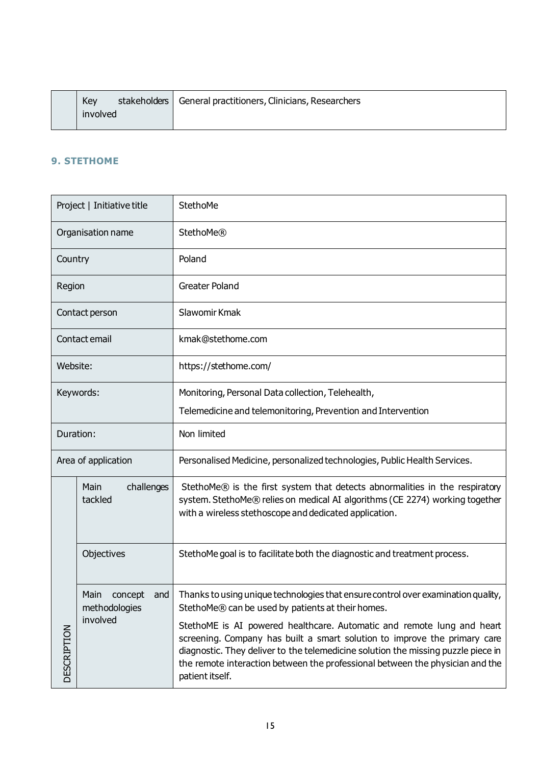|  | Key      | stakeholders   General practitioners, Clinicians, Researchers |
|--|----------|---------------------------------------------------------------|
|  | involved |                                                               |

### <span id="page-14-0"></span>**9. STETHOME**

| Project   Initiative title |                                         | StethoMe                                                                                                                                                                                                                                                                                                                                     |
|----------------------------|-----------------------------------------|----------------------------------------------------------------------------------------------------------------------------------------------------------------------------------------------------------------------------------------------------------------------------------------------------------------------------------------------|
| Organisation name          |                                         | <b>StethoMe®</b>                                                                                                                                                                                                                                                                                                                             |
| Country                    |                                         | Poland                                                                                                                                                                                                                                                                                                                                       |
| Region                     |                                         | <b>Greater Poland</b>                                                                                                                                                                                                                                                                                                                        |
|                            | Contact person                          | Slawomir Kmak                                                                                                                                                                                                                                                                                                                                |
|                            | Contact email                           | kmak@stethome.com                                                                                                                                                                                                                                                                                                                            |
| Website:                   |                                         | https://stethome.com/                                                                                                                                                                                                                                                                                                                        |
| Keywords:                  |                                         | Monitoring, Personal Data collection, Telehealth,                                                                                                                                                                                                                                                                                            |
|                            |                                         | Telemedicine and telemonitoring, Prevention and Intervention                                                                                                                                                                                                                                                                                 |
| Duration:                  |                                         | Non limited                                                                                                                                                                                                                                                                                                                                  |
| Area of application        |                                         | Personalised Medicine, personalized technologies, Public Health Services.                                                                                                                                                                                                                                                                    |
|                            | Main<br>challenges<br>tackled           | StethoMe® is the first system that detects abnormalities in the respiratory<br>system. StethoMe® relies on medical AI algorithms (CE 2274) working together<br>with a wireless stethoscope and dedicated application.                                                                                                                        |
|                            | Objectives                              | StethoMe goal is to facilitate both the diagnostic and treatment process.                                                                                                                                                                                                                                                                    |
|                            | Main<br>concept<br>and<br>methodologies | Thanks to using unique technologies that ensure control over examination quality,<br>StethoMe® can be used by patients at their homes.                                                                                                                                                                                                       |
| <b>DESCRIPTION</b>         | involved                                | StethoME is AI powered healthcare. Automatic and remote lung and heart<br>screening. Company has built a smart solution to improve the primary care<br>diagnostic. They deliver to the telemedicine solution the missing puzzle piece in<br>the remote interaction between the professional between the physician and the<br>patient itself. |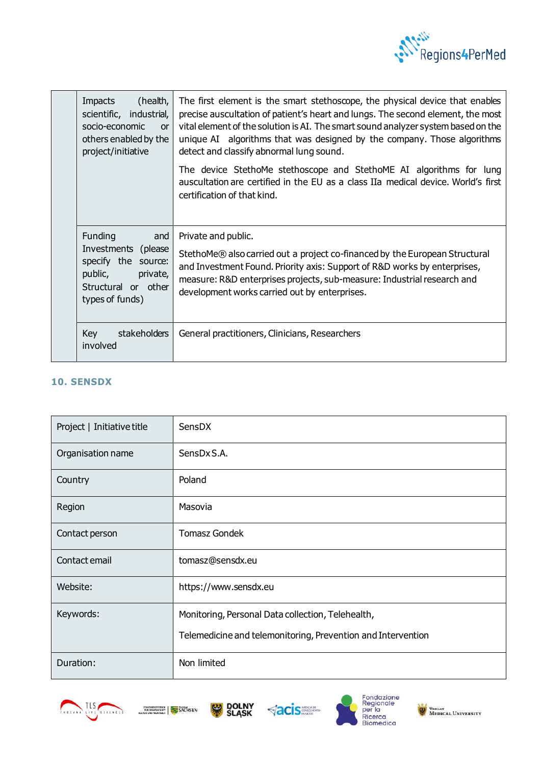

|  | (health,<br>Impacts<br>scientific, industrial,<br>socio-economic<br>or<br>others enabled by the<br>project/initiative                | The first element is the smart stethoscope, the physical device that enables<br>precise auscultation of patient's heart and lungs. The second element, the most<br>vital element of the solution is AI. The smart sound analyzer system based on the<br>unique AI algorithms that was designed by the company. Those algorithms<br>detect and classify abnormal lung sound.<br>The device StethoMe stethoscope and StethoME AI algorithms for lung<br>auscultation are certified in the EU as a class IIa medical device. World's first<br>certification of that kind. |
|--|--------------------------------------------------------------------------------------------------------------------------------------|------------------------------------------------------------------------------------------------------------------------------------------------------------------------------------------------------------------------------------------------------------------------------------------------------------------------------------------------------------------------------------------------------------------------------------------------------------------------------------------------------------------------------------------------------------------------|
|  | <b>Funding</b><br>and<br>Investments (please<br>specify the source:<br>public,<br>private,<br>Structural or other<br>types of funds) | Private and public.<br>StethoMe® also carried out a project co-financed by the European Structural<br>and Investment Found. Priority axis: Support of R&D works by enterprises,<br>measure: R&D enterprises projects, sub-measure: Industrial research and<br>development works carried out by enterprises.                                                                                                                                                                                                                                                            |
|  | Key<br>stakeholders<br>involved                                                                                                      | General practitioners, Clinicians, Researchers                                                                                                                                                                                                                                                                                                                                                                                                                                                                                                                         |

## <span id="page-15-0"></span>**10. SENSDX**

| Project   Initiative title | SensDX                                                       |
|----------------------------|--------------------------------------------------------------|
| Organisation name          | SensDx S.A.                                                  |
| Country                    | Poland                                                       |
| Region                     | Masovia                                                      |
| Contact person             | <b>Tomasz Gondek</b>                                         |
| Contact email              | tomasz@sensdx.eu                                             |
| Website:                   | https://www.sensdx.eu                                        |
| Keywords:                  | Monitoring, Personal Data collection, Telehealth,            |
|                            | Telemedicine and telemonitoring, Prevention and Intervention |
| Duration:                  | Non limited                                                  |









WEDICAL UNIVERSITY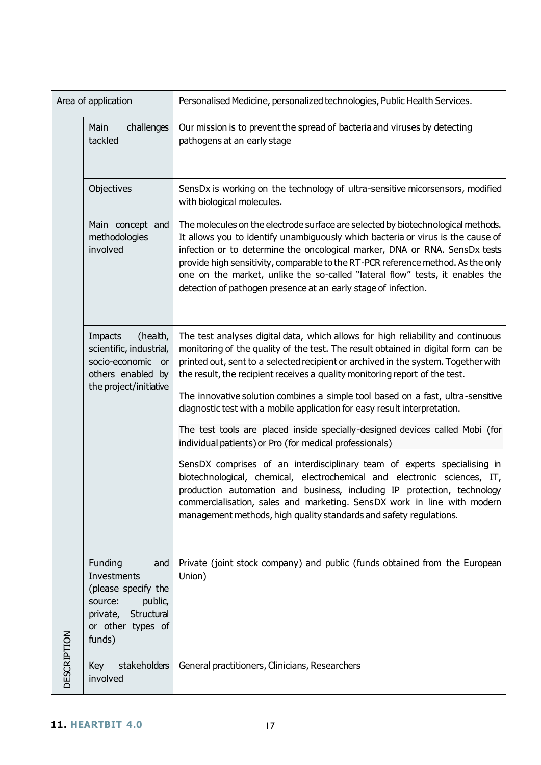<span id="page-16-0"></span>

|                    | Area of application                                                                                                                 | Personalised Medicine, personalized technologies, Public Health Services.                                                                                                                                                                                                                                                                                                                                                                                                                                  |
|--------------------|-------------------------------------------------------------------------------------------------------------------------------------|------------------------------------------------------------------------------------------------------------------------------------------------------------------------------------------------------------------------------------------------------------------------------------------------------------------------------------------------------------------------------------------------------------------------------------------------------------------------------------------------------------|
|                    | challenges<br>Main<br>tackled                                                                                                       | Our mission is to prevent the spread of bacteria and viruses by detecting<br>pathogens at an early stage                                                                                                                                                                                                                                                                                                                                                                                                   |
|                    | Objectives                                                                                                                          | SensDx is working on the technology of ultra-sensitive micorsensors, modified<br>with biological molecules.                                                                                                                                                                                                                                                                                                                                                                                                |
|                    | Main concept and<br>methodologies<br>involved                                                                                       | The molecules on the electrode surface are selected by biotechnological methods.<br>It allows you to identify unambiguously which bacteria or virus is the cause of<br>infection or to determine the oncological marker, DNA or RNA. SensDx tests<br>provide high sensitivity, comparable to the RT-PCR reference method. As the only<br>one on the market, unlike the so-called "lateral flow" tests, it enables the<br>detection of pathogen presence at an early stage of infection.                    |
|                    | Impacts<br>(health,<br>scientific, industrial,<br>socio-economic or<br>others enabled by<br>the project/initiative                  | The test analyses digital data, which allows for high reliability and continuous<br>monitoring of the quality of the test. The result obtained in digital form can be<br>printed out, sent to a selected recipient or archived in the system. Together with<br>the result, the recipient receives a quality monitoring report of the test.<br>The innovative solution combines a simple tool based on a fast, ultra-sensitive<br>diagnostic test with a mobile application for easy result interpretation. |
|                    |                                                                                                                                     | The test tools are placed inside specially-designed devices called Mobi (for<br>individual patients) or Pro (for medical professionals)                                                                                                                                                                                                                                                                                                                                                                    |
|                    |                                                                                                                                     | SensDX comprises of an interdisciplinary team of experts specialising in<br>biotechnological, chemical, electrochemical and electronic sciences, IT,<br>production automation and business, including IP protection, technology<br>commercialisation, sales and marketing. SensDX work in line with modern<br>management methods, high quality standards and safety regulations.                                                                                                                           |
| <b>DESCRIPTION</b> | Funding<br>and<br>Investments<br>(please specify the<br>source:<br>public,<br>Structural<br>private,<br>or other types of<br>funds) | Private (joint stock company) and public (funds obtained from the European<br>Union)                                                                                                                                                                                                                                                                                                                                                                                                                       |
|                    | stakeholders<br>Key<br>involved                                                                                                     | General practitioners, Clinicians, Researchers                                                                                                                                                                                                                                                                                                                                                                                                                                                             |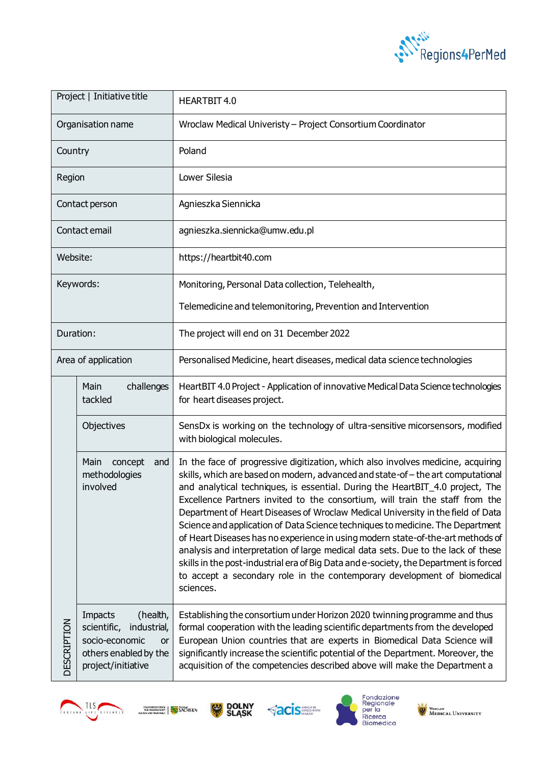

| Project   Initiative title |                                                                                                                          | HEARTBIT 4.0                                                                                                                                                                                                                                                                                                                                                                                                                                                                                                                                                                                                                                                                                                                                                                                                                                                      |
|----------------------------|--------------------------------------------------------------------------------------------------------------------------|-------------------------------------------------------------------------------------------------------------------------------------------------------------------------------------------------------------------------------------------------------------------------------------------------------------------------------------------------------------------------------------------------------------------------------------------------------------------------------------------------------------------------------------------------------------------------------------------------------------------------------------------------------------------------------------------------------------------------------------------------------------------------------------------------------------------------------------------------------------------|
| Organisation name          |                                                                                                                          | Wroclaw Medical Univeristy - Project Consortium Coordinator                                                                                                                                                                                                                                                                                                                                                                                                                                                                                                                                                                                                                                                                                                                                                                                                       |
| Country                    |                                                                                                                          | Poland                                                                                                                                                                                                                                                                                                                                                                                                                                                                                                                                                                                                                                                                                                                                                                                                                                                            |
| Region                     |                                                                                                                          | Lower Silesia                                                                                                                                                                                                                                                                                                                                                                                                                                                                                                                                                                                                                                                                                                                                                                                                                                                     |
| Contact person             |                                                                                                                          | Agnieszka Siennicka                                                                                                                                                                                                                                                                                                                                                                                                                                                                                                                                                                                                                                                                                                                                                                                                                                               |
|                            | Contact email                                                                                                            | agnieszka.siennicka@umw.edu.pl                                                                                                                                                                                                                                                                                                                                                                                                                                                                                                                                                                                                                                                                                                                                                                                                                                    |
| Website:                   |                                                                                                                          | https://heartbit40.com                                                                                                                                                                                                                                                                                                                                                                                                                                                                                                                                                                                                                                                                                                                                                                                                                                            |
|                            | Keywords:                                                                                                                | Monitoring, Personal Data collection, Telehealth,                                                                                                                                                                                                                                                                                                                                                                                                                                                                                                                                                                                                                                                                                                                                                                                                                 |
|                            |                                                                                                                          | Telemedicine and telemonitoring, Prevention and Intervention                                                                                                                                                                                                                                                                                                                                                                                                                                                                                                                                                                                                                                                                                                                                                                                                      |
| Duration:                  |                                                                                                                          | The project will end on 31 December 2022                                                                                                                                                                                                                                                                                                                                                                                                                                                                                                                                                                                                                                                                                                                                                                                                                          |
| Area of application        |                                                                                                                          | Personalised Medicine, heart diseases, medical data science technologies                                                                                                                                                                                                                                                                                                                                                                                                                                                                                                                                                                                                                                                                                                                                                                                          |
|                            | challenges<br>Main<br>tackled                                                                                            | HeartBIT 4.0 Project - Application of innovative Medical Data Science technologies<br>for heart diseases project.                                                                                                                                                                                                                                                                                                                                                                                                                                                                                                                                                                                                                                                                                                                                                 |
| <b>DESCRIPTION</b>         | Objectives                                                                                                               | SensDx is working on the technology of ultra-sensitive micorsensors, modified<br>with biological molecules.                                                                                                                                                                                                                                                                                                                                                                                                                                                                                                                                                                                                                                                                                                                                                       |
|                            | Main<br>concept<br>and<br>methodologies<br>involved                                                                      | In the face of progressive digitization, which also involves medicine, acquiring<br>skills, which are based on modern, advanced and state-of-the art computational<br>and analytical techniques, is essential. During the HeartBIT_4.0 project, The<br>Excellence Partners invited to the consortium, will train the staff from the<br>Department of Heart Diseases of Wroclaw Medical University in the field of Data<br>Science and application of Data Science techniques to medicine. The Department<br>of Heart Diseases has no experience in using modern state-of-the-art methods of<br>analysis and interpretation of large medical data sets. Due to the lack of these<br>skills in the post-industrial era of Big Data and e-society, the Department is forced<br>to accept a secondary role in the contemporary development of biomedical<br>sciences. |
|                            | Impacts<br>(health,<br>scientific,<br>industrial,<br>socio-economic<br>or<br>others enabled by the<br>project/initiative | Establishing the consortium under Horizon 2020 twinning programme and thus<br>formal cooperation with the leading scientific departments from the developed<br>European Union countries that are experts in Biomedical Data Science will<br>significantly increase the scientific potential of the Department. Moreover, the<br>acquisition of the competencies described above will make the Department a                                                                                                                                                                                                                                                                                                                                                                                                                                                        |











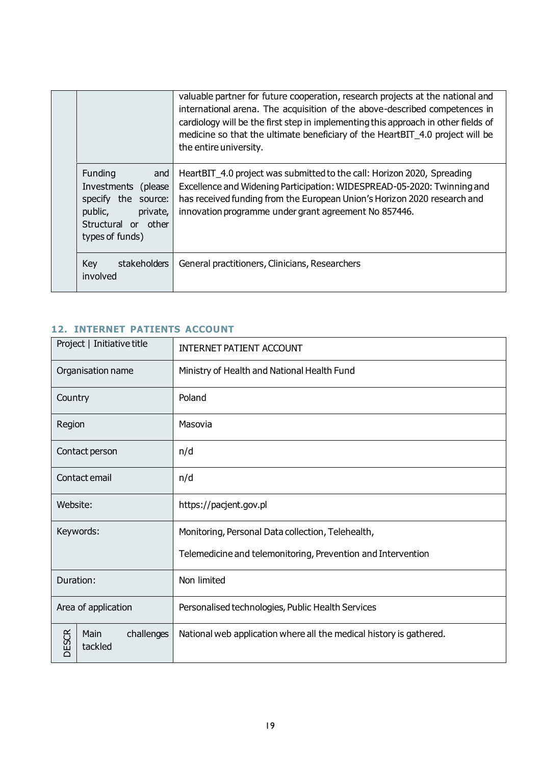|  |                                                                                                                                   | valuable partner for future cooperation, research projects at the national and<br>international arena. The acquisition of the above-described competences in<br>cardiology will be the first step in implementing this approach in other fields of<br>medicine so that the ultimate beneficiary of the HeartBIT_4.0 project will be<br>the entire university. |
|--|-----------------------------------------------------------------------------------------------------------------------------------|---------------------------------------------------------------------------------------------------------------------------------------------------------------------------------------------------------------------------------------------------------------------------------------------------------------------------------------------------------------|
|  | Funding<br>and<br>Investments<br>(please)<br>specify the source:<br>public,<br>private,<br>Structural or other<br>types of funds) | HeartBIT_4.0 project was submitted to the call: Horizon 2020, Spreading<br>Excellence and Widening Participation: WIDESPREAD-05-2020: Twinning and<br>has received funding from the European Union's Horizon 2020 research and<br>innovation programme under grant agreement No 857446.                                                                       |
|  | Key<br>stakeholders<br>involved                                                                                                   | General practitioners, Clinicians, Researchers                                                                                                                                                                                                                                                                                                                |

# <span id="page-18-0"></span>**12. INTERNET PATIENTS ACCOUNT**

| Project   Initiative title |                               | <b>INTERNET PATIENT ACCOUNT</b>                                     |
|----------------------------|-------------------------------|---------------------------------------------------------------------|
| Organisation name          |                               | Ministry of Health and National Health Fund                         |
| Country                    |                               | Poland                                                              |
| Region                     |                               | Masovia                                                             |
| Contact person             |                               | n/d                                                                 |
| Contact email              |                               | n/d                                                                 |
| Website:                   |                               | https://pacjent.gov.pl                                              |
| Keywords:                  |                               | Monitoring, Personal Data collection, Telehealth,                   |
|                            |                               | Telemedicine and telemonitoring, Prevention and Intervention        |
| Duration:                  |                               | Non limited                                                         |
| Area of application        |                               | Personalised technologies, Public Health Services                   |
| <b>DESCR</b>               | Main<br>challenges<br>tackled | National web application where all the medical history is gathered. |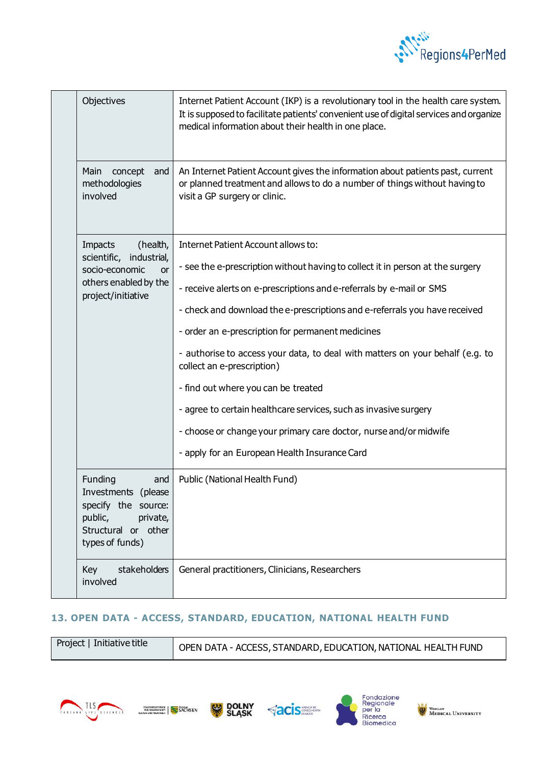

|  | Objectives                                                                                                                       | Internet Patient Account (IKP) is a revolutionary tool in the health care system.<br>It is supposed to facilitate patients' convenient use of digital services and organize<br>medical information about their health in one place.                                                                                                                                                                                                                                                                                                                                                                                                                                              |
|--|----------------------------------------------------------------------------------------------------------------------------------|----------------------------------------------------------------------------------------------------------------------------------------------------------------------------------------------------------------------------------------------------------------------------------------------------------------------------------------------------------------------------------------------------------------------------------------------------------------------------------------------------------------------------------------------------------------------------------------------------------------------------------------------------------------------------------|
|  | Main<br>concept<br>and<br>methodologies<br>involved                                                                              | An Internet Patient Account gives the information about patients past, current<br>or planned treatment and allows to do a number of things without having to<br>visit a GP surgery or clinic.                                                                                                                                                                                                                                                                                                                                                                                                                                                                                    |
|  | (health,<br>Impacts<br>scientific, industrial,<br>socio-economic<br><b>or</b><br>others enabled by the<br>project/initiative     | Internet Patient Account allows to:<br>- see the e-prescription without having to collect it in person at the surgery<br>- receive alerts on e-prescriptions and e-referrals by e-mail or SMS<br>- check and download the e-prescriptions and e-referrals you have received<br>- order an e-prescription for permanent medicines<br>- authorise to access your data, to deal with matters on your behalf (e.g. to<br>collect an e-prescription)<br>- find out where you can be treated<br>- agree to certain healthcare services, such as invasive surgery<br>- choose or change your primary care doctor, nurse and/or midwife<br>- apply for an European Health Insurance Card |
|  | Funding<br>and<br>Investments<br>(please<br>specify the source:<br>public,<br>private,<br>Structural or other<br>types of funds) | Public (National Health Fund)                                                                                                                                                                                                                                                                                                                                                                                                                                                                                                                                                                                                                                                    |
|  | Key<br>stakeholders<br>involved                                                                                                  | General practitioners, Clinicians, Researchers                                                                                                                                                                                                                                                                                                                                                                                                                                                                                                                                                                                                                                   |

### <span id="page-19-0"></span>**13. OPEN DATA - ACCESS, STANDARD, EDUCATION, NATIONAL HEALTH FUND**

|  | Project   Initiative title | OPEN DATA - ACCESS, STANDARD, EDUCATION, NATIONAL HEALTH FUND |
|--|----------------------------|---------------------------------------------------------------|
|--|----------------------------|---------------------------------------------------------------|









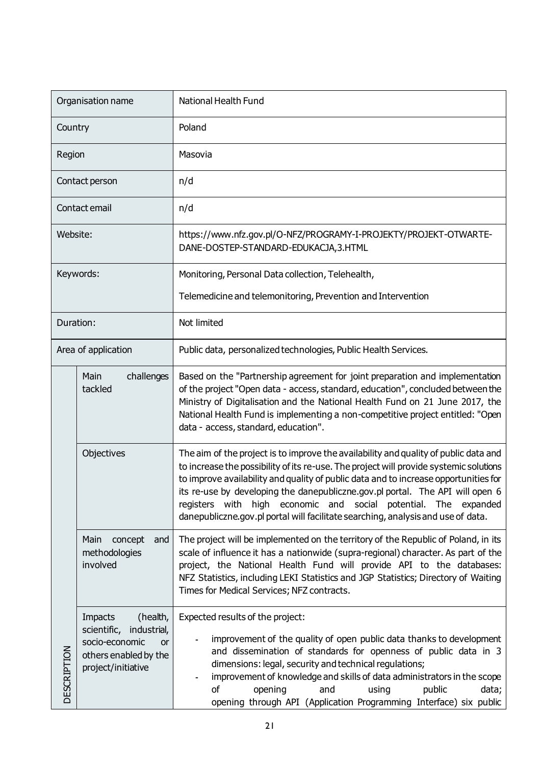| Organisation name   |                                                                                                                       | National Health Fund                                                                                                                                                                                                                                                                                                                                                                                                                                                                                           |
|---------------------|-----------------------------------------------------------------------------------------------------------------------|----------------------------------------------------------------------------------------------------------------------------------------------------------------------------------------------------------------------------------------------------------------------------------------------------------------------------------------------------------------------------------------------------------------------------------------------------------------------------------------------------------------|
| Country             |                                                                                                                       | Poland                                                                                                                                                                                                                                                                                                                                                                                                                                                                                                         |
| Region              |                                                                                                                       | Masovia                                                                                                                                                                                                                                                                                                                                                                                                                                                                                                        |
|                     | Contact person                                                                                                        | n/d                                                                                                                                                                                                                                                                                                                                                                                                                                                                                                            |
| Contact email       |                                                                                                                       | n/d                                                                                                                                                                                                                                                                                                                                                                                                                                                                                                            |
| Website:            |                                                                                                                       | https://www.nfz.gov.pl/O-NFZ/PROGRAMY-I-PROJEKTY/PROJEKT-OTWARTE-<br>DANE-DOSTEP-STANDARD-EDUKACJA, 3.HTML                                                                                                                                                                                                                                                                                                                                                                                                     |
|                     | Keywords:                                                                                                             | Monitoring, Personal Data collection, Telehealth,                                                                                                                                                                                                                                                                                                                                                                                                                                                              |
|                     |                                                                                                                       | Telemedicine and telemonitoring, Prevention and Intervention                                                                                                                                                                                                                                                                                                                                                                                                                                                   |
| Duration:           |                                                                                                                       | Not limited                                                                                                                                                                                                                                                                                                                                                                                                                                                                                                    |
| Area of application |                                                                                                                       | Public data, personalized technologies, Public Health Services.                                                                                                                                                                                                                                                                                                                                                                                                                                                |
|                     | challenges<br>Main<br>tackled                                                                                         | Based on the "Partnership agreement for joint preparation and implementation<br>of the project "Open data - access, standard, education", concluded between the<br>Ministry of Digitalisation and the National Health Fund on 21 June 2017, the<br>National Health Fund is implementing a non-competitive project entitled: "Open<br>data - access, standard, education".                                                                                                                                      |
|                     | Objectives                                                                                                            | The aim of the project is to improve the availability and quality of public data and<br>to increase the possibility of its re-use. The project will provide systemic solutions<br>to improve availability and quality of public data and to increase opportunities for<br>its re-use by developing the danepubliczne.gov.pl portal. The API will open 6<br>registers with high economic and social potential. The expanded<br>danepubliczne.gov.pl portal will facilitate searching, analysis and use of data. |
| <b>DESCRIPTION</b>  | Main<br>concept<br>and<br>methodologies<br>involved                                                                   | The project will be implemented on the territory of the Republic of Poland, in its<br>scale of influence it has a nationwide (supra-regional) character. As part of the<br>project, the National Health Fund will provide API to the databases:<br>NFZ Statistics, including LEKI Statistics and JGP Statistics; Directory of Waiting<br>Times for Medical Services; NFZ contracts.                                                                                                                            |
|                     | Impacts<br>(health,<br>scientific, industrial,<br>socio-economic<br>or<br>others enabled by the<br>project/initiative | Expected results of the project:<br>improvement of the quality of open public data thanks to development<br>and dissemination of standards for openness of public data in 3<br>dimensions: legal, security and technical regulations;<br>improvement of knowledge and skills of data administrators in the scope<br>of<br>opening<br>public<br>and<br>using<br>data;<br>opening through API (Application Programming Interface) six public                                                                     |